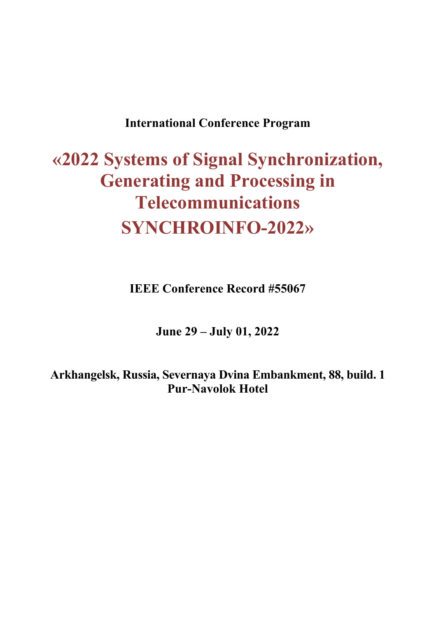# **International Conference Program**

# **«2022 Systems of Signal Synchronization, Generating and Processing in Telecommunications SYNCHROINFO-2022»**

**IEEE Conference Record #55067** 

**June 29 – July 01, 2022** 

**Arkhangelsk, Russia, Severnaya Dvina Embankment, 88, build. 1 Pur-Navolok Hotel**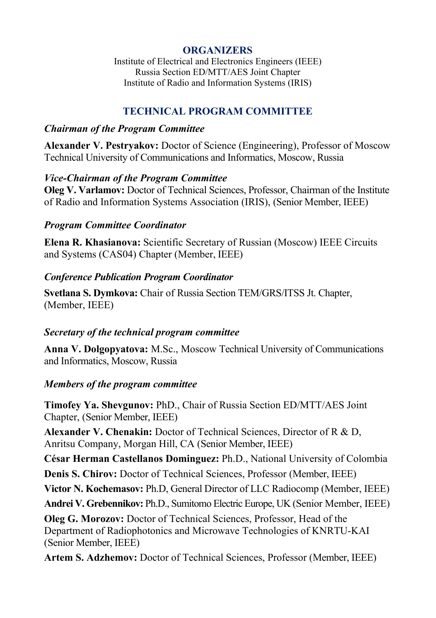# **ORGANIZERS**

Institute of Electrical and Electronics Engineers (IEEE) Russia Section ED/MTT/AES Joint Chapter Institute of Radio and Information Systems (IRIS)

# **TECHNICAL PROGRAM COMMITTEE**

# *Chairman of the Program Committee*

**Alexander V. Pestryakov:** Doctor of Science (Engineering), Professor of Moscow Technical University of Communications and Informatics, Moscow, Russia

# *Vice-Chairman of the Program Committee*

**Oleg V. Varlamov:** Doctor of Technical Sciences, Professor, Chairman of the Institute of Radio and Information Systems Association (IRIS), (Senior Member, IEEE)

# *Program Committee Coordinator*

**Elena R. Khasianova:** Scientific Secretary of Russian (Moscow) IEEE Circuits and Systems (CAS04) Chapter (Member, IEEE)

# *Conference Publication Program Coordinator*

**Svetlana S. Dymkova:** Chair of Russia Section TEM/GRS/ITSS Jt. Chapter, (Member, IEEE)

# *Secretary of the technical program committee*

**Anna V. Dolgopyatova:** M.Sc., Moscow Technical University of Communications and Informatics, Moscow, Russia

# *Members of the program committee*

**Timofey Ya. Shevgunov:** PhD., Chair of Russia Section ED/MTT/AES Joint Chapter, (Senior Member, IEEE)

**Alexander V. Chenakin:** Doctor of Technical Sciences, Director of R & D, Anritsu Company, Morgan Hill, CA (Senior Member, IEEE)

**César Herman Castellanos Dominguez:** Ph.D., National University of Colombia **Denis S. Chirov:** Doctor of Technical Sciences, Professor (Member, IEEE)

**Victor N. Kochemasov:** Ph.D, General Director of LLC Radiocomp (Member, IEEE)

**Andrei V. Grebennikov:** Ph.D., Sumitomo Electric Europe, UK (Senior Member, IEEE)

**Oleg G. Morozov:** Doctor of Technical Sciences, Professor, Head of the Department of Radiophotonics and Microwave Technologies of KNRTU-KAI (Senior Member, IEEE)

**Artem S. Adzhemov:** Doctor of Technical Sciences, Professor (Member, IEEE)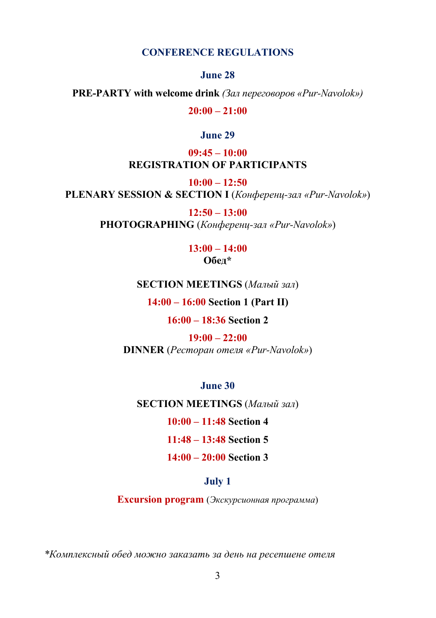#### **CONFERENCE REGULATIONS**

**June 28** 

**PRE-PARTY with welcome drink** *(Зал переговоров «Pur-Navolok»)* 

**20:00 – 21:00** 

#### **June 29**

**09:45 – 10:00 REGISTRATION OF PARTICIPANTS** 

**10:00 – 12:50** 

**PLENARY SESSION & SECTION I** (*Конференц-зал «Pur-Navolok»*)

**12:50 – 13:00 PHOTOGRAPHING** (*Конференц-зал «Pur-Navolok»*)

# **13:00 – 14:00 Обед\***

#### **SECTION MEETINGS** (*Малый зал*)

**14:00 – 16:00 Section 1 (Part II)**

#### **16:00 – 18:36 Section 2**

**19:00 – 22:00 DINNER** (*Ресторан отеля «Pur-Navolok»*)

**June 30** 

**SECTION MEETINGS** (*Малый зал*)

**10:00 – 11:48 Section 4**

**11:48 – 13:48 Section 5**

**14:00 – 20:00 Section 3**

#### **July 1**

**Excursion program** (*Экскурсионная программа*)

*\*Комплексный обед можно заказать за день на ресепшене отеля*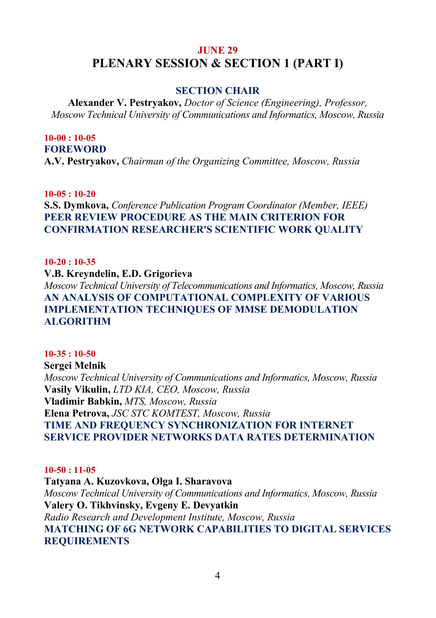# **JUNE 29 PLENARY SESSION & SECTION 1 (PART I)**

# **SECTION CHAIR**

**Alexander V. Pestryakov,** *Doctor of Science (Engineering), Professor, Moscow Technical University of Communications and Informatics, Moscow, Russia*

#### **10-00 : 10-05 FOREWORD**

**A.V. Pestryakov,** *Chairman of the Organizing Committee, Moscow, Russia* 

**10-05 : 10-20** 

**S.S. Dymkova,** *Conference Publication Program Coordinator (Member, IEEE)*  **PEER REVIEW PROCEDURE AS THE MAIN CRITERION FOR CONFIRMATION RESEARCHER'S SCIENTIFIC WORK QUALITY** 

#### **10-20 : 10-35**

**V.B. Kreyndelin, E.D. Grigorieva**  *Moscow Technical University of Telecommunications and Informatics, Moscow, Russia*  **AN ANALYSIS OF COMPUTATIONAL COMPLEXITY OF VARIOUS IMPLEMENTATION TECHNIQUES OF MMSE DEMODULATION ALGORITHM** 

#### **10-35 : 10-50**

**Sergei Melnik**  *Moscow Technical University of Communications and Informatics, Moscow, Russia*  **Vasily Vikulin,** *LTD KIA, CEO, Moscow, Russia*  **Vladimir Babkin,** *MTS, Moscow, Russia*  **Elena Petrova,** *JSC STC KOMTEST, Moscow, Russia*  **TIME AND FREQUENCY SYNCHRONIZATION FOR INTERNET SERVICE PROVIDER NETWORKS DATA RATES DETERMINATION** 

#### **10-50 : 11-05**

**Тatyana А. Kuzovkova, Olga I. Sharavova**  *Moscow Technical University of Communications and Informatics, Moscow, Russia*  **Valery O. Tikhvinsky, Evgeny E. Devyatkin**  *Radio Research and Development Institute, Moscow, Russia*  **MATCHING OF 6G NETWORK CAPABILITIES TO DIGITAL SERVICES REQUIREMENTS**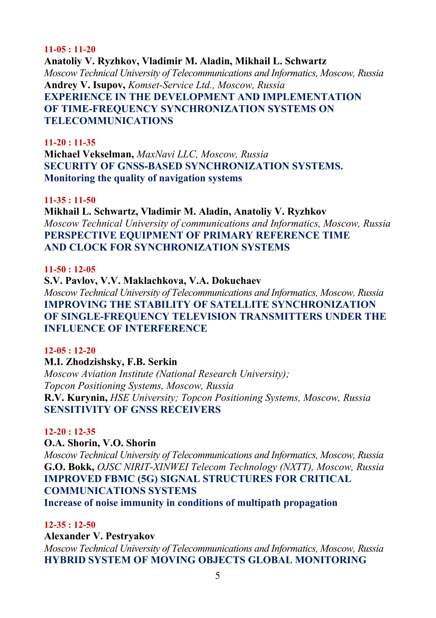#### **11-05 : 11-20**

**Anatoliy V. Ryzhkov, Vladimir M. Aladin, Mikhail L. Schwartz**  *Moscow Technical University of Telecommunications and Informatics, Moscow, Russia*  **Andrey V. Isupov,** *Komset-Service Ltd., Moscow, Russia*  **EXPERIENCE IN THE DEVELOPMENT AND IMPLEMENTATION OF TIME-FREQUENCY SYNCHRONIZATION SYSTEMS ON TELECOMMUNICATIONS** 

#### **11-20 : 11-35**

**Michael Vekselman,** *MaxNavi LLC, Moscow, Russia*  **SECURITY OF GNSS-BASED SYNCHRONIZATION SYSTEMS. Monitoring the quality of navigation systems** 

#### **11-35 : 11-50**

**Mikhail L. Schwartz, Vladimir M. Aladin, Anatoliy V. Ryzhkov**  *Moscow Technical University of communications and Informatics, Moscow, Russia*  **PERSPECTIVE EQUIPMENT OF PRIMARY REFERENCE TIME AND CLOCK FOR SYNCHRONIZATION SYSTEMS** 

#### **11-50 : 12-05**

**S.V. Pavlov, V.V. Maklachkova, V.A. Dokuchaev**  *Moscow Technical University of Telecommunications and Informatics, Moscow, Russia*  **IMPROVING THE STABILITY OF SATELLITE SYNCHRONIZATION OF SINGLE-FREQUENCY TELEVISION TRANSMITTERS UNDER THE INFLUENCE OF INTERFERENCE** 

#### **12-05 : 12-20**

# **M.I. Zhodzishsky, F.B. Serkin**

*Moscow Aviation Institute (National Research University); Topcon Positioning Systems, Moscow, Russia*  **R.V. Kurynin,** *HSE University; Topcon Positioning Systems, Moscow, Russia*  **SENSITIVITY OF GNSS RECEIVERS** 

#### **12-20 : 12-35**

# **O.A. Shorin, V.O. Shorin**

*Moscow Technical University of Telecommunications and Informatics, Moscow, Russia*  **G.O. Bokk,** *OJSC NIRIT-XINWEI Telecom Technology (NXTT), Moscow, Russia*  **IMPROVED FBMC (5G) SIGNAL STRUCTURES FOR CRITICAL COMMUNICATIONS SYSTEMS** 

**Increase of noise immunity in conditions of multipath propagation** 

#### **12-35 : 12-50**

**Alexander V. Pestryakov** 

*Moscow Technical University of Telecommunications and Informatics, Moscow, Russia*  **HYBRID SYSTEM OF MOVING OBJECTS GLOBAL MONITORING**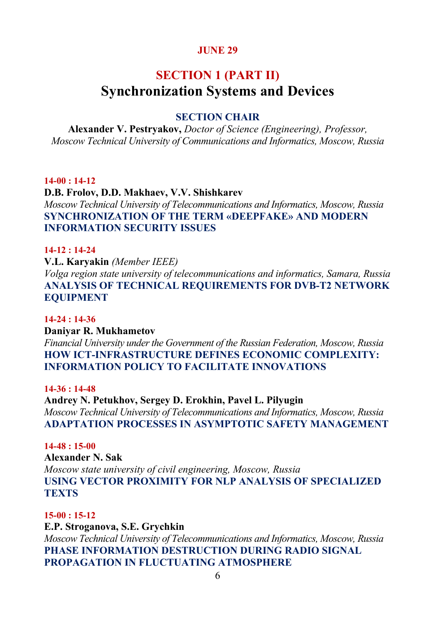# **SECTION 1 (PART II) Synchronization Systems and Devices**

# **SECTION CHAIR**

**Alexander V. Pestryakov,** *Doctor of Science (Engineering), Professor, Moscow Technical University of Communications and Informatics, Moscow, Russia*

#### **14-00 : 14-12**

**D.B. Frolov, D.D. Makhaev, V.V. Shishkarev**  *Moscow Technical University of Telecommunications and Informatics, Moscow, Russia*  **SYNCHRONIZATION OF THE TERM «DEEPFAKE» AND MODERN INFORMATION SECURITY ISSUES** 

#### **14-12 : 14-24**

**V.L. Karyakin** *(Member IEEE)*

*Volga region state university of telecommunications and informatics, Samara, Russia*  **ANALYSIS OF TECHNICAL REQUIREMENTS FOR DVB-T2 NETWORK EQUIPMENT** 

#### **14-24 : 14-36**

**Daniyar R. Mukhametov**  *Financial University under the Government of the Russian Federation, Moscow, Russia*  **HOW ICT-INFRASTRUCTURE DEFINES ECONOMIC COMPLEXITY: INFORMATION POLICY TO FACILITATE INNOVATIONS** 

**14-36 : 14-48** 

**Andrey N. Petukhov, Sergey D. Erokhin, Pavel L. Pilyugin**  *Moscow Technical University of Telecommunications and Informatics, Moscow, Russia*  **ADAPTATION PROCESSES IN ASYMPTOTIC SAFETY MANAGEMENT** 

#### **14-48 : 15-00**

**Alexander N. Sak**  *Moscow state university of civil engineering, Moscow, Russia*  **USING VECTOR PROXIMITY FOR NLP ANALYSIS OF SPECIALIZED TEXTS** 

#### **15-00 : 15-12**

**E.P. Stroganova, S.E. Grychkin**  *Moscow Technical University of Telecommunications and Informatics, Moscow, Russia* **PHASE INFORMATION DESTRUCTION DURING RADIO SIGNAL PROPAGATION IN FLUCTUATING ATMOSPHERE**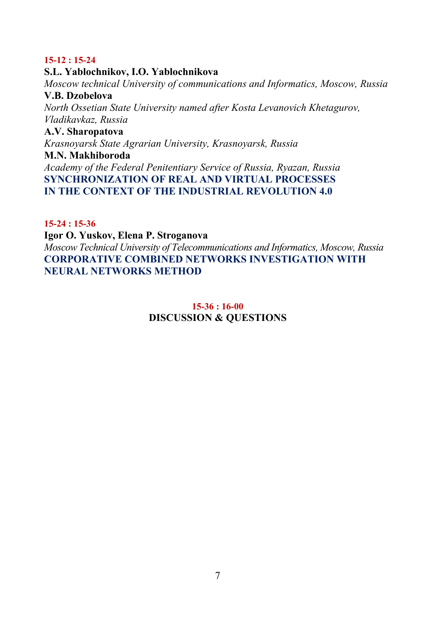#### **15-12 : 15-24**

#### **S.L. Yablochnikov, I.O. Yablochnikova**

*Moscow technical University of communications and Informatics, Moscow, Russia*  **V.B. Dzobelova**  *North Ossetian State University named after Kosta Levanovich Khetagurov, Vladikavkaz, Russia*  **A.V. Sharopatova**  *Krasnoyarsk State Agrarian University, Krasnoyarsk, Russia*  **M.N. Makhiboroda**  *Academy of the Federal Penitentiary Service of Russia, Ryazan, Russia*  **SYNCHRONIZATION OF REAL AND VIRTUAL PROCESSES IN THE CONTEXT OF THE INDUSTRIAL REVOLUTION 4.0** 

# **15-24 : 15-36**

#### **Igor O. Yuskov, Elena P. Stroganova**

*Moscow Technical University of Telecommunications and Informatics, Moscow, Russia*  **CORPORATIVE COMBINED NETWORKS INVESTIGATION WITH NEURAL NETWORKS METHOD** 

# **15-36 : 16-00 DISCUSSION & QUESTIONS**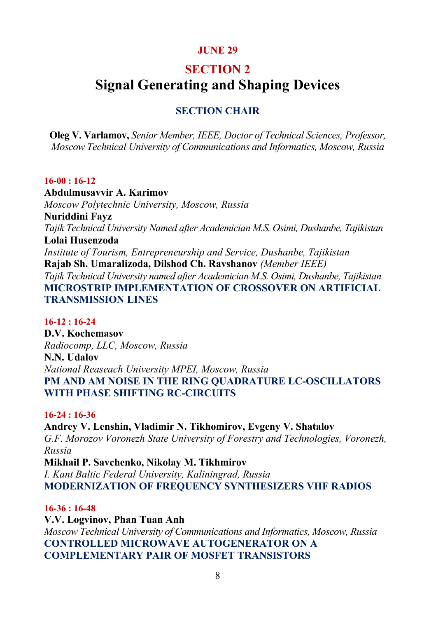# **SECTION 2**

# **Signal Generating and Shaping Devices**

# **SECTION CHAIR**

**Oleg V. Varlamov,** *Senior Member, IEEE, Doctor of Technical Sciences, Professor, Moscow Technical University of Communications and Informatics, Moscow, Russia* 

#### **16-00 : 16-12**

**Abdulmusavvir A. Karimov**  *Moscow Polytechnic University, Moscow, Russia*  **Nuriddini Fayz**  *Tajik Technical University Named after Academician M.S. Osimi, Dushanbe, Tajikistan*  **Lolai Husenzoda**  *Institute of Tourism, Entrepreneurship and Service, Dushanbe, Tajikistan*  **Rajab Sh. Umaralizoda, Dilshod Ch. Ravshanov** *(Member IEEE) Tajik Technical University named after Academician M.S. Osimi, Dushanbe, Tajikistan*  **MICROSTRIP IMPLEMENTATION OF CROSSOVER ON ARTIFICIAL TRANSMISSION LINES** 

# **16-12 : 16-24**

**D.V. Kochemasov**  *Radiocomp, LLC, Moscow, Russia*  **N.N. Udalov**  *National Reaseach University MPEI, Moscow, Russia*  **PM AND AM NOISE IN THE RING QUADRATURE LC-OSCILLATORS WITH PHASE SHIFTING RC-CIRCUITS** 

#### **16-24 : 16-36**

**Andrey V. Lenshin, Vladimir N. Tikhomirov, Evgeny V. Shatalov**  *G.F. Morozov Voronezh State University of Forestry and Technologies, Voronezh, Russia*  **Mikhail P. Savchenko, Nikolay M. Tikhmirov**  *I. Kant Baltic Federal University, Kaliningrad, Russia*  **MODERNIZATION OF FREQUENCY SYNTHESIZERS VHF RADIOS** 

#### **16-36 : 16-48**

**V.V. Logvinov, Phan Tuan Anh**  *Moscow Technical University of Communications and Informatics, Moscow, Russia*  **CONTROLLED MICROWAVE AUTOGENERATOR ON A COMPLEMENTARY PAIR OF MOSFET TRANSISTORS**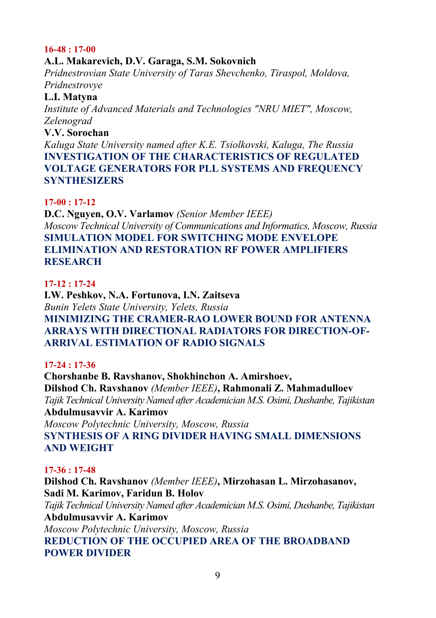#### **16-48 : 17-00**

# **A.L. Makarevich, D.V. Garaga, S.M. Sokovnich**

*Pridnestrovian State University of Taras Shevchenko, Tiraspol, Moldova, Pridnestrovye* 

# **L.I. Matyna**

*Institute of Advanced Materials and Technologies "NRU MIET", Moscow, Zelenograd* 

# **V.V. Sorochan**

*Kaluga State University named after K.E. Tsiolkovski, Kaluga, The Russia*  **INVESTIGATION OF THE CHARACTERISTICS OF REGULATED VOLTAGE GENERATORS FOR PLL SYSTEMS AND FREQUENCY SYNTHESIZERS** 

#### **17-00 : 17-12**

**D.C. Nguyen, O.V. Varlamov** *(Senior Member IEEE) Moscow Technical University of Communications and Informatics, Moscow, Russia*  **SIMULATION MODEL FOR SWITCHING MODE ENVELOPE ELIMINATION AND RESTORATION RF POWER AMPLIFIERS RESEARCH** 

## **17-12 : 17-24**

**I.W. Peshkov, N.A. Fortunova, I.N. Zaitseva**  *Bunin Yelets State University, Yelets, Russia*  **MINIMIZING THE CRAMER-RAO LOWER BOUND FOR ANTENNA ARRAYS WITH DIRECTIONAL RADIATORS FOR DIRECTION-OF-ARRIVAL ESTIMATION OF RADIO SIGNALS** 

#### **17-24 : 17-36**

**Chorshanbe B. Ravshanov, Shokhinchon A. Amirshoev, Dilshod Ch. Ravshanov** *(Member IEEE)***, Rahmonali Z. Mahmadulloev**  *Tajik Technical University Named after Academician M.S. Osimi, Dushanbe, Tajikistan*  **Abdulmusavvir A. Karimov**  *Moscow Polytechnic University, Moscow, Russia*  **SYNTHESIS OF A RING DIVIDER HAVING SMALL DIMENSIONS AND WEIGHT** 

#### **17-36 : 17-48**

**Dilshod Ch. Ravshanov** *(Member IEEE)***, Mirzohasan L. Mirzohasanov, Sadi M. Karimov, Faridun B. Holov**  *Tajik Technical University Named after Academician M.S. Osimi, Dushanbe, Tajikistan*  **Abdulmusavvir A. Karimov**  *Moscow Polytechnic University, Moscow, Russia*  **REDUCTION OF THE OCCUPIED AREA OF THE BROADBAND POWER DIVIDER**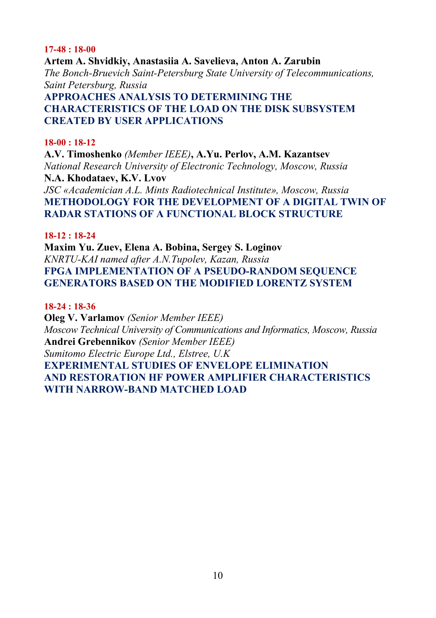#### **17-48 : 18-00**

**Artem A. Shvidkiy, Anastasiia A. Savelieva, Anton A. Zarubin**  *The Bonch-Bruevich Saint-Petersburg State University of Telecommunications, Saint Petersburg, Russia*  **APPROACHES ANALYSIS TO DETERMINING THE CHARACTERISTICS OF THE LOAD ON THE DISK SUBSYSTEM CREATED BY USER APPLICATIONS** 

#### **18-00 : 18-12**

**A.V. Timoshenko** *(Member IEEE)***, A.Yu. Perlov, A.M. Kazantsev**  *National Research University of Electronic Technology, Moscow, Russia*  **N.A. Khodataev, K.V. Lvov**  *JSC «Academician A.L. Mints Radiotechnical Institute», Moscow, Russia*  **METHODOLOGY FOR THE DEVELOPMENT OF A DIGITAL TWIN OF RADAR STATIONS OF A FUNCTIONAL BLOCK STRUCTURE** 

#### **18-12 : 18-24**

**Maxim Yu. Zuev, Elena A. Bobina, Sergey S. Loginov**  *KNRTU-KAI named after A.N.Tupolev, Kazan, Russia*  **FPGA IMPLEMENTATION OF A PSEUDO-RANDOM SEQUENCE GENERATORS BASED ON THE MODIFIED LORENTZ SYSTEM** 

#### **18-24 : 18-36**

**Oleg V. Varlamov** *(Senior Member IEEE) Moscow Technical University of Communications and Informatics, Moscow, Russia*  **Andrei Grebennikov** *(Senior Member IEEE) Sumitomo Electric Europe Ltd., Elstree, U.K*  **EXPERIMENTAL STUDIES OF ENVELOPE ELIMINATION AND RESTORATION HF POWER AMPLIFIER CHARACTERISTICS WITH NARROW-BAND MATCHED LOAD**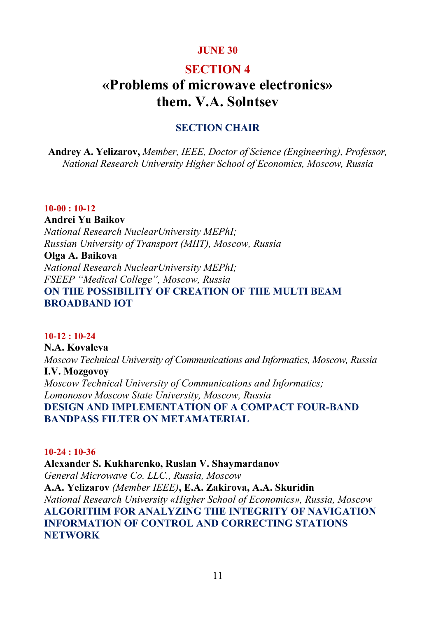# **SECTION 4 «Problems of microwave electronics»**

# **them. V.A. Solntsev**

# **SECTION CHAIR**

**Andrey A. Yelizarov,** *Member, IEEE, Doctor of Science (Engineering), Professor, National Research University Higher School of Economics, Moscow, Russia* 

#### **10-00 : 10-12**

**Andrei Yu Baikov**  *National Research NuclearUniversity MEPhI; Russian University of Transport (MIIT), Moscow, Russia*  **Olga A. Baikova**  *National Research NuclearUniversity MEPhI; FSEEP "Medical College", Moscow, Russia*  **ON THE POSSIBILITY OF CREATION OF THE MULTI BEAM BROADBAND IOT** 

# **10-12 : 10-24**

**N.A. Kovaleva**  *Moscow Technical University of Communications and Informatics, Moscow, Russia*  **I.V. Mozgovoy**  *Moscow Technical University of Communications and Informatics; Lomonosov Moscow State University, Moscow, Russia*  **DESIGN AND IMPLEMENTATION OF A COMPACT FOUR-BAND BANDPASS FILTER ON METAMATERIAL** 

#### **10-24 : 10-36**

**Alexander S. Kukharenko, Ruslan V. Shaymardanov**  *General Microwave Co. LLC., Russia, Moscow*  **A.A. Yelizarov** *(Member IEEE)***, E.A. Zakirova, A.A. Skuridin**  *National Research University «Higher School of Economics», Russia, Moscow*  **ALGORITHM FOR ANALYZING THE INTEGRITY OF NAVIGATION INFORMATION OF CONTROL AND CORRECTING STATIONS NETWORK**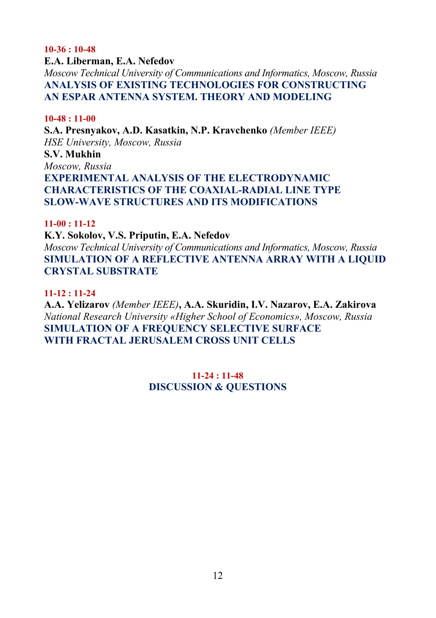#### **10-36 : 10-48**

#### **E.A. Liberman, E.A. Nefedov**

*Moscow Technical University of Communications and Informatics, Moscow, Russia*  **ANALYSIS OF EXISTING TECHNOLOGIES FOR CONSTRUCTING AN ESPAR ANTENNA SYSTEM. THEORY AND MODELING** 

#### **10-48 : 11-00**

**S.A. Presnyakov, A.D. Kasatkin, N.P. Kravchenko** *(Member IEEE) HSE University, Moscow, Russia*  **S.V. Mukhin**  *Moscow, Russia*  **EXPERIMENTAL ANALYSIS OF THE ELECTRODYNAMIC CHARACTERISTICS OF THE COAXIAL-RADIAL LINE TYPE SLOW-WAVE STRUCTURES AND ITS MODIFICATIONS** 

#### **11-00 : 11-12**

**K.Y. Sokolov, V.S. Priputin, E.A. Nefedov** 

*Moscow Technical University of Communications and Informatics, Moscow, Russia*  **SIMULATION OF A REFLECTIVE ANTENNA ARRAY WITH A LIQUID CRYSTAL SUBSTRATE** 

#### **11-12 : 11-24**

**A.A. Yelizarov** *(Member IEEE)***, A.A. Skuridin, I.V. Nazarov, E.A. Zakirova**  *National Research University «Higher School of Economics», Moscow, Russia*  **SIMULATION OF A FREQUENCY SELECTIVE SURFACE WITH FRACTAL JERUSALEM CROSS UNIT CELLS** 

> **11-24 : 11-48 DISCUSSION & QUESTIONS**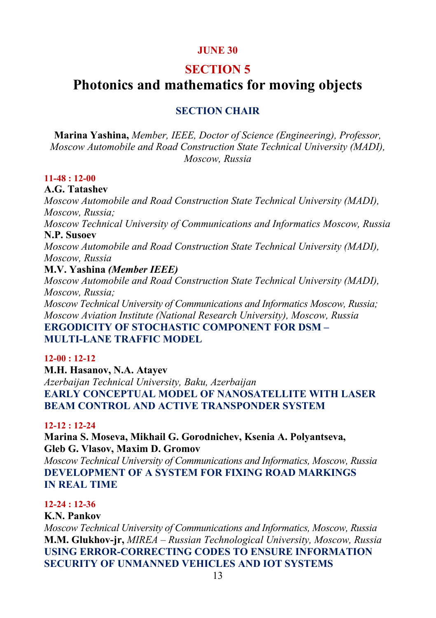# **SECTION 5**

# **Photonics and mathematics for moving objects**

# **SECTION CHAIR**

**Marina Yashina,** *Member, IEEE, Doctor of Science (Engineering), Professor, Moscow Automobile and Road Construction State Technical University (MADI), Moscow, Russia*

#### **11-48 : 12-00**

# **A.G. Tatashev**

*Moscow Automobile and Road Construction State Technical University (MADI), Moscow, Russia;* 

*Moscow Technical University of Communications and Informatics Moscow, Russia*  **N.P. Susoev** 

*Moscow Automobile and Road Construction State Technical University (MADI), Moscow, Russia* 

#### **M.V. Yashina** *(Member IEEE)*

*Moscow Automobile and Road Construction State Technical University (MADI), Moscow, Russia;* 

*Moscow Technical University of Communications and Informatics Moscow, Russia; Moscow Aviation Institute (National Research University), Moscow, Russia* 

**ERGODICITY OF STOCHASTIC COMPONENT FOR DSM – MULTI-LANE TRAFFIC MODEL** 

#### **12-00 : 12-12**

**M.H. Hasanov, N.A. Atayev**  *Azerbaijan Technical University, Baku, Azerbaijan*  **EARLY CONCEPTUAL MODEL OF NANOSATELLITE WITH LASER BEAM CONTROL AND ACTIVE TRANSPONDER SYSTEM** 

# **12-12 : 12-24**

**Marina S. Moseva, Mikhail G. Gorodnichev, Ksenia A. Polyantseva, Gleb G. Vlasov, Maxim D. Gromov** 

*Moscow Technical University of Communications and Informatics, Moscow, Russia*  **DEVELOPMENT OF A SYSTEM FOR FIXING ROAD MARKINGS IN REAL TIME** 

# **12-24 : 12-36**

#### **K.N. Pankov**

*Moscow Technical University of Communications and Informatics, Moscow, Russia*  **M.M. Glukhov-jr,** *MIREA – Russian Technological University, Moscow, Russia*  **USING ERROR-CORRECTING CODES TO ENSURE INFORMATION SECURITY OF UNMANNED VEHICLES AND IOT SYSTEMS**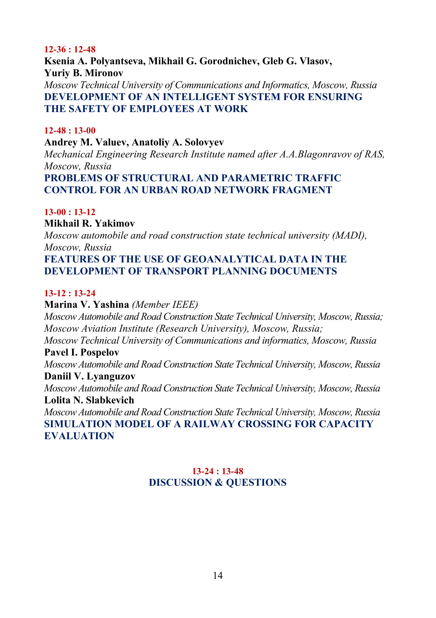#### **12-36 : 12-48**

**Ksenia A. Polyantseva, Mikhail G. Gorodnichev, Gleb G. Vlasov, Yuriy B. Mironov**  *Moscow Technical University of Communications and Informatics, Moscow, Russia*  **DEVELOPMENT OF AN INTELLIGENT SYSTEM FOR ENSURING THE SAFETY OF EMPLOYEES AT WORK** 

#### **12-48 : 13-00**

#### **Andrey M. Valuev, Anatoliy A. Solovyev**

*Mechanical Engineering Research Institute named after A.A.Blagonravov of RAS, Moscow, Russia*  **PROBLEMS OF STRUCTURAL AND PARAMETRIC TRAFFIC CONTROL FOR AN URBAN ROAD NETWORK FRAGMENT** 

#### **13-00 : 13-12**

# **Mikhail R. Yakimov**

*Moscow automobile and road construction state technical university (MADI), Moscow, Russia*  **FEATURES OF THE USE OF GEOANALYTICAL DATA IN THE DEVELOPMENT OF TRANSPORT PLANNING DOCUMENTS** 

#### **13-12 : 13-24**

**Marina V. Yashina** *(Member IEEE) Moscow Automobile and Road Construction State Technical University, Moscow, Russia; Moscow Aviation Institute (Research University), Moscow, Russia; Moscow Technical University of Communications and informatics, Moscow, Russia*  **Pavel I. Pospelov**  *Moscow Automobile and Road Construction State Technical University, Moscow, Russia*  **Daniil V. Lyanguzov**  *Moscow Automobile and Road Construction State Technical University, Moscow, Russia*  **Lolita N. Slabkevich**  *Moscow Automobile and Road Construction State Technical University, Moscow, Russia*  **SIMULATION MODEL OF A RAILWAY CROSSING FOR CAPACITY EVALUATION** 

## **13-24 : 13-48 DISCUSSION & QUESTIONS**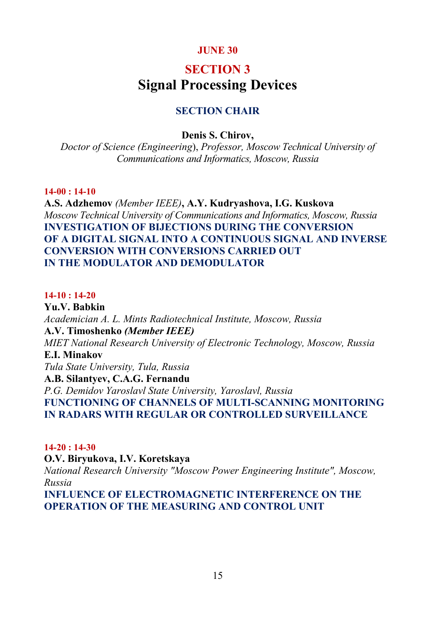# **SECTION 3 Signal Processing Devices**

# **SECTION CHAIR**

#### **Denis S. Chirov,**

*Doctor of Science (Engineering*), *Professor, Moscow Technical University of Communications and Informatics, Moscow, Russia* 

#### **14-00 : 14-10**

**A.S. Adzhemov** *(Member IEEE)***, A.Y. Kudryashova, I.G. Kuskova**  *Moscow Technical University of Communications and Informatics, Moscow, Russia*  **INVESTIGATION OF BIJECTIONS DURING THE CONVERSION OF A DIGITAL SIGNAL INTO A CONTINUOUS SIGNAL AND INVERSE CONVERSION WITH CONVERSIONS CARRIED OUT IN THE MODULATOR AND DEMODULATOR** 

#### **14-10 : 14-20**

**Yu.V. Babkin**  *Academician A. L. Mints Radiotechnical Institute, Moscow, Russia*  **A.V. Timoshenko** *(Member IEEE) MIET National Research University of Electronic Technology, Moscow, Russia*  **E.I. Minakov**  *Tula State University, Tula, Russia*  **A.B. Silantyev, C.A.G. Fernandu**  *P.G. Demidov Yaroslavl State University, Yaroslavl, Russia*  **FUNCTIONING OF CHANNELS OF MULTI-SCANNING MONITORING IN RADARS WITH REGULAR OR CONTROLLED SURVEILLANCE** 

#### **14-20 : 14-30**

**O.V. Biryukova, I.V. Koretskaya**  *National Research University "Moscow Power Engineering Institute", Moscow, Russia* 

**INFLUENCE OF ELECTROMAGNETIC INTERFERENCE ON THE OPERATION OF THE MEASURING AND CONTROL UNIT**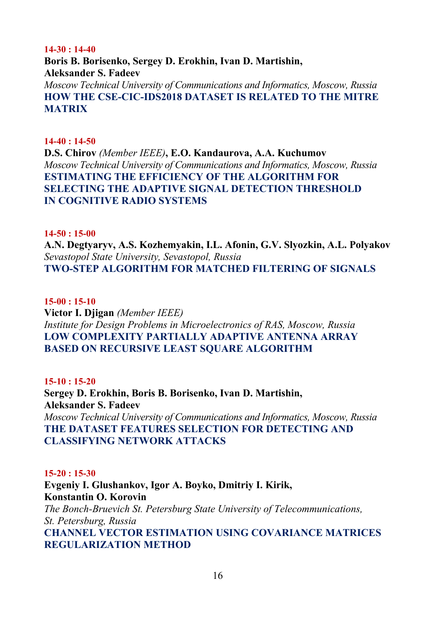#### **14-30 : 14-40**

**Boris B. Borisenko, Sergey D. Erokhin, Ivan D. Martishin, Aleksander S. Fadeev**  *Moscow Technical University of Communications and Informatics, Moscow, Russia*  **HOW THE CSE-CIC-IDS2018 DATASET IS RELATED TO THE MITRE MATRIX** 

#### **14-40 : 14-50**

**D.S. Chirov** *(Member IEEE)***, E.O. Kandaurova, A.A. Kuchumov**  *Moscow Technical University of Communications and Informatics, Moscow, Russia*  **ESTIMATING THE EFFICIENCY OF THE ALGORITHM FOR SELECTING THE ADAPTIVE SIGNAL DETECTION THRESHOLD IN COGNITIVE RADIO SYSTEMS** 

#### **14-50 : 15-00**

**A.N. Degtyaryv, A.S. Kozhemyakin, I.L. Afonin, G.V. Slyozkin, A.L. Polyakov**  *Sevastopol State University, Sevastopol, Russia*  **TWO-STEP ALGORITHM FOR MATCHED FILTERING OF SIGNALS** 

#### **15-00 : 15-10**

**Victor I. Djigan** *(Member IEEE) Institute for Design Problems in Microelectronics of RAS, Moscow, Russia*  **LOW COMPLEXITY PARTIALLY ADAPTIVE ANTENNA ARRAY BASED ON RECURSIVE LEAST SQUARE ALGORITHM** 

#### **15-10 : 15-20**

**Sergey D. Erokhin, Boris B. Borisenko, Ivan D. Martishin, Aleksander S. Fadeev**  *Moscow Technical University of Communications and Informatics, Moscow, Russia*  **THE DATASET FEATURES SELECTION FOR DETECTING AND CLASSIFYING NETWORK ATTACKS** 

#### **15-20 : 15-30**

**Evgeniy I. Glushankov, Igor A. Boyko, Dmitriy I. Kirik, Konstantin O. Korovin**  *The Bonch-Bruevich St. Petersburg State University of Telecommunications, St. Petersburg, Russia*  **CHANNEL VECTOR ESTIMATION USING COVARIANCE MATRICES REGULARIZATION METHOD**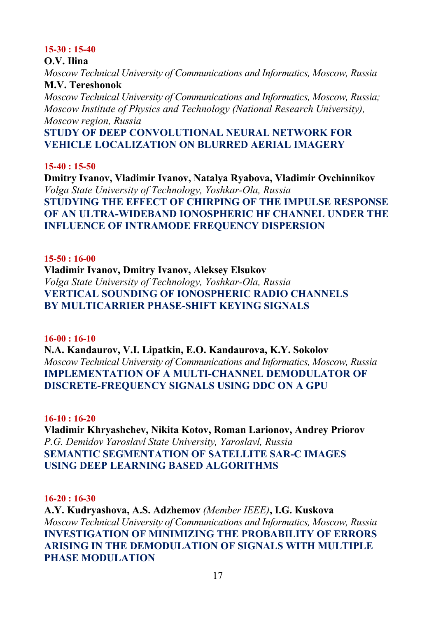#### **15-30 : 15-40**

#### **O.V. Ilina**

*Moscow Technical University of Communications and Informatics, Moscow, Russia*  **M.V. Tereshonok** 

*Moscow Technical University of Communications and Informatics, Moscow, Russia; Moscow Institute of Physics and Technology (National Research University), Moscow region, Russia* 

# **STUDY OF DEEP CONVOLUTIONAL NEURAL NETWORK FOR VEHICLE LOCALIZATION ON BLURRED AERIAL IMAGERY**

#### **15-40 : 15-50**

**Dmitry Ivanov, Vladimir Ivanov, Natalya Ryabova, Vladimir Ovchinnikov**  *Volga State University of Technology, Yoshkar-Ola, Russia*  **STUDYING THE EFFECT OF CHIRPING OF THE IMPULSE RESPONSE OF AN ULTRA-WIDEBAND IONOSPHERIC HF CHANNEL UNDER THE INFLUENCE OF INTRAMODE FREQUENCY DISPERSION** 

#### **15-50 : 16-00**

**Vladimir Ivanov, Dmitry Ivanov, Aleksey Elsukov**  *Volga State University of Technology, Yoshkar-Ola, Russia*  **VERTICAL SOUNDING OF IONOSPHERIC RADIO CHANNELS BY MULTICARRIER PHASE-SHIFT KEYING SIGNALS** 

#### **16-00 : 16-10**

**N.A. Kandaurov, V.I. Lipatkin, E.O. Kandaurova, K.Y. Sokolov**  *Moscow Technical University of Communications and Informatics, Moscow, Russia*  **IMPLEMENTATION OF A MULTI-CHANNEL DEMODULATOR OF DISCRETE-FREQUENCY SIGNALS USING DDC ON A GPU** 

#### **16-10 : 16-20**

**Vladimir Khryashchev, Nikita Kotov, Roman Larionov, Andrey Priorov**  *P.G. Demidov Yaroslavl State University, Yaroslavl, Russia*  **SEMANTIC SEGMENTATION OF SATELLITE SAR-C IMAGES USING DEEP LEARNING BASED ALGORITHMS** 

#### **16-20 : 16-30**

**A.Y. Kudryashova, A.S. Adzhemov** *(Member IEEE)***, I.G. Kuskova**  *Moscow Technical University of Communications and Informatics, Moscow, Russia*  **INVESTIGATION OF MINIMIZING THE PROBABILITY OF ERRORS ARISING IN THE DEMODULATION OF SIGNALS WITH MULTIPLE PHASE MODULATION**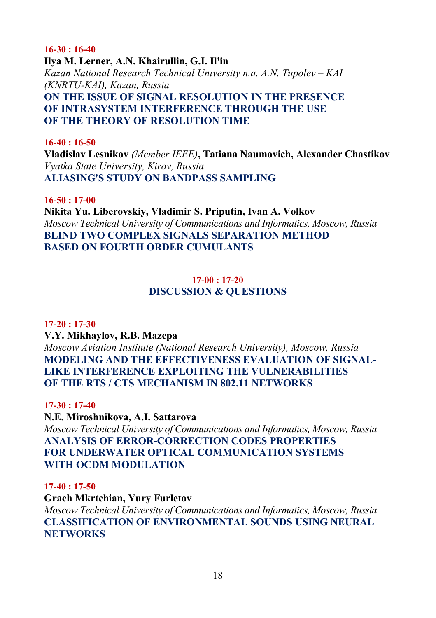#### **16-30 : 16-40**

**Ilya M. Lerner, A.N. Khairullin, G.I. Il'in**  *Kazan National Research Technical University n.a. A.N. Tupolev – KAI (KNRTU-KAI), Kazan, Russia*  **ON THE ISSUE OF SIGNAL RESOLUTION IN THE PRESENCE OF INTRASYSTEM INTERFERENCE THROUGH THE USE OF THE THEORY OF RESOLUTION TIME** 

#### **16-40 : 16-50**

**Vladislav Lesnikov** *(Member IEEE)***, Tatiana Naumovich, Alexander Chastikov**  *Vyatka State University, Kirov, Russia*  **ALIASING'S STUDY ON BANDPASS SAMPLING** 

**16-50 : 17-00** 

**Nikita Yu. Liberovskiy, Vladimir S. Priputin, Ivan A. Volkov**  *Moscow Technical University of Communications and Informatics, Moscow, Russia*  **BLIND TWO COMPLEX SIGNALS SEPARATION METHOD BASED ON FOURTH ORDER CUMULANTS** 

## **17-00 : 17-20 DISCUSSION & QUESTIONS**

#### **17-20 : 17-30**

**V.Y. Mikhaylov, R.B. Mazepa** 

*Moscow Aviation Institute (National Research University), Moscow, Russia*  **MODELING AND THE EFFECTIVENESS EVALUATION OF SIGNAL-LIKE INTERFERENCE EXPLOITING THE VULNERABILITIES OF THE RTS / CTS MECHANISM IN 802.11 NETWORKS** 

**17-30 : 17-40** 

**N.E. Miroshnikova, A.I. Sattarova**  *Moscow Technical University of Communications and Informatics, Moscow, Russia*  **ANALYSIS OF ERROR-CORRECTION CODES PROPERTIES FOR UNDERWATER OPTICAL COMMUNICATION SYSTEMS WITH OCDM MODULATION** 

#### **17-40 : 17-50**

**Grach Mkrtchian, Yury Furletov** 

*Moscow Technical University of Communications and Informatics, Moscow, Russia*  **CLASSIFICATION OF ENVIRONMENTAL SOUNDS USING NEURAL NETWORKS**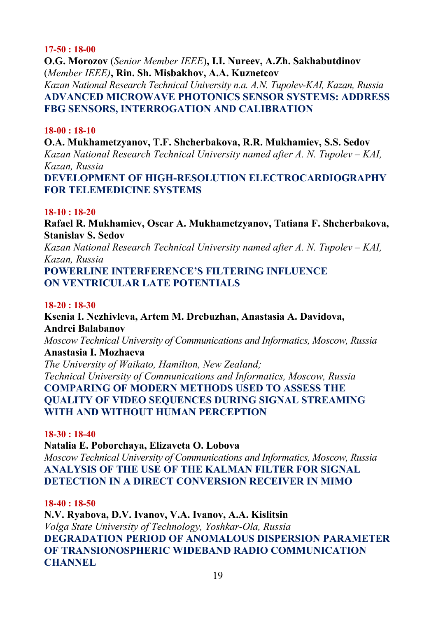#### **17-50 : 18-00**

**O.G. Morozov** (*Senior Member IEEE*)**, I.I. Nureev, A.Zh. Sakhabutdinov**  (*Member IEEE)***, Rin. Sh. Misbakhov, A.A. Kuznetcov**  *Kazan National Research Technical University n.a. A.N. Tupolev-KAI, Kazan, Russia*  **ADVANCED MICROWAVE PHOTONICS SENSOR SYSTEMS: ADDRESS FBG SENSORS, INTERROGATION AND CALIBRATION** 

#### **18-00 : 18-10**

**O.A. Mukhametzyanov, T.F. Shcherbakova, R.R. Mukhamiev, S.S. Sedov**  *Kazan National Research Technical University named after A. N. Tupolev – KAI, Kazan, Russia*  **DEVELOPMENT OF HIGH-RESOLUTION ELECTROCARDIOGRAPHY** 

# **FOR TELEMEDICINE SYSTEMS**

#### **18-10 : 18-20**

**Rafael R. Mukhamiev, Oscar A. Mukhametzyanov, Tatiana F. Shcherbakova, Stanislav S. Sedov** 

*Kazan National Research Technical University named after A. N. Tupolev – KAI, Kazan, Russia* 

**POWERLINE INTERFERENCE'S FILTERING INFLUENCE ON VENTRICULAR LATE POTENTIALS** 

#### **18-20 : 18-30**

**Ksenia I. Nezhivleva, Artem M. Drebuzhan, Anastasia A. Davidova, Andrei Balabanov** 

*Moscow Technical University of Communications and Informatics, Moscow, Russia* 

# **Anastasia I. Mozhaeva**

*The University of Waikato, Hamilton, New Zealand; Technical University of Communications and Informatics, Moscow, Russia*  **COMPARING OF MODERN METHODS USED TO ASSESS THE QUALITY OF VIDEO SEQUENCES DURING SIGNAL STREAMING WITH AND WITHOUT HUMAN PERCEPTION** 

#### **18-30 : 18-40**

**Natalia E. Poborchaya, Elizaveta O. Lobova** 

*Moscow Technical University of Communications and Informatics, Moscow, Russia*  **ANALYSIS OF THE USE OF THE KALMAN FILTER FOR SIGNAL DETECTION IN A DIRECT CONVERSION RECEIVER IN MIMO** 

#### **18-40 : 18-50**

**N.V. Ryabova, D.V. Ivanov, V.A. Ivanov, A.A. Kislitsin**  *Volga State University of Technology, Yoshkar-Ola, Russia*  **DEGRADATION PERIOD OF ANOMALOUS DISPERSION PARAMETER OF TRANSIONOSPHERIC WIDEBAND RADIO COMMUNICATION CHANNEL**